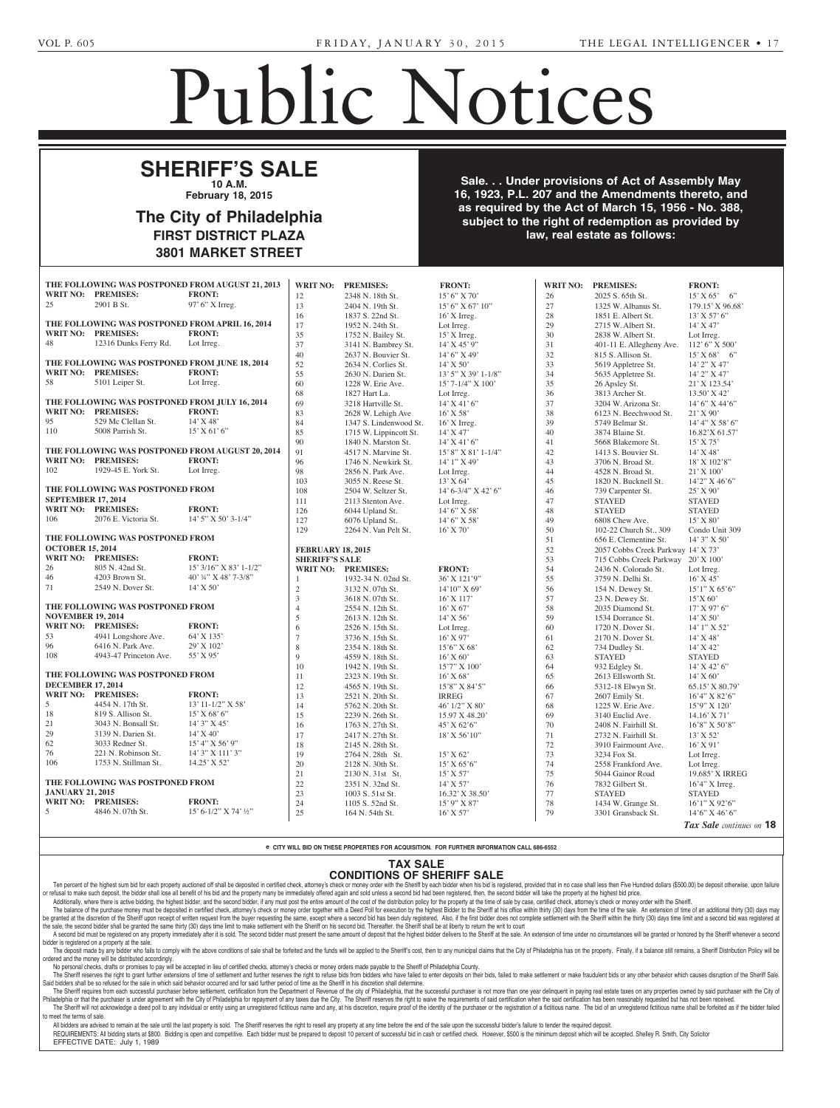<u>1910</u>

**GREEN, SAMUEL -- DWIGHT** Green, Administrator, 4027 N. **Jamar Wesley Sutton** who has been missing since 12/12/13. The Court has fixed 2/24/1015 at 3:00

## Public Notices

Non-Profit Charter

Nonprofit Corporation Law of the Commonwealth of Pennsylvania.

### **SHERIFF'S SALE 10 A.M. CUEDIED**

**February 18, 2015 PHENGEARY 18, 2015** 

#### The City of Philadelphia FIRST DISTRICT PLAZA **3801 MARKET STREET** section 3162 of the Probate,  $\overline{AB}$ Estates and Fiduciaries Code which requires a  $\sim$ of grant of letters to contain  $38$ the name and address of the **MANDELKERN)** -- Jane Zeitsv of Philadelnhia g or rimaaoipma  $P$ no hill, **ND**

**Sale. . . Under provisions of Act of Assembly May 16, 1923, P.L. 207 and the Amendments thereto, and Example 20 as required by the Act of March 15, 1956 - No. 388,** subject to the right of redemption as provided by **the Council** are the right of readmission as power to the law, real estate as follows: **filted with the Department of State 16, 1923, P.L. 207 and the Amendments thereto, and** sylvania, at Harrisburg, PA on Sept. 25, 2014 for the purpose of obtaining a charter of a nonprofit corporation organized under the **Thursday, real estate as follows: Estate the Estate of Estate the Estate the Estate of Estate the Estate of Estate the Estate of Estate as follows:**  $\overline{\mathsf{q}}$  as provided by

various sections of Title 9, enti-

approximately approximately the Mike Chapman to Mike Chapman to  $\mathcal{M}$ 

|                                     |                                                 | THE FOLLOWING WAS POSTPONED FROM AUGUST 21, 2013 | <b>WRIT NO:</b>          | <b>PREMISES:</b>       | <b>FRONT:</b>             | <b>WRIT NO:</b>   | <b>PREMISES:</b>                   | <b>FRONT:</b>            |
|-------------------------------------|-------------------------------------------------|--------------------------------------------------|--------------------------|------------------------|---------------------------|-------------------|------------------------------------|--------------------------|
|                                     | <b>WRIT NO: PREMISES:</b>                       | <b>FRONT:</b>                                    | 12                       | 2348 N. 18th St.       | 15' 6''  X 70'            | 26                | 2025 S. 65th St.                   | 15' X 65' 6''            |
| 25                                  | 2901 B St.                                      | 97' 6" X Irreg.                                  | 13                       | 2404 N. 19th St.       | 15' 6" X 67' 10"          | 27                | 1325 W. Albanus St.                | 179.15' X 96.68'         |
|                                     |                                                 |                                                  | 16                       | 1837 S. 22nd St.       | $16'$ X Irreg.            | 28                | 1851 E. Albert St.                 | 13' X 57' 6"             |
|                                     | THE FOLLOWING WAS POSTPONED FROM APRIL 16, 2014 |                                                  | 17                       | 1952 N. 24th St.       | Lot Irreg.                | 29                | 2715 W. Albert St.                 | $14'$ X 47'              |
| WRIT NO: PREMISES:<br><b>FRONT:</b> |                                                 |                                                  | 35                       | 1752 N. Bailey St.     | $15'$ X Irreg.            | 30                | 2838 W. Albert St.                 | Lot Irreg.               |
| 48                                  | 12316 Dunks Ferry Rd.                           | Lot Irreg.                                       | 37                       | 3141 N. Bambrey St.    | 14' X 45' 9"              | 31                | 401-11 E. Allegheny Ave.           | 112' 6" X 500'           |
|                                     |                                                 |                                                  | $40\,$                   | 2637 N. Bouvier St.    | $14'6''$ X 49'            | 32                | 815 S. Allison St.                 | 15' X 68' 6'             |
|                                     | THE FOLLOWING WAS POSTPONED FROM JUNE 18, 2014  |                                                  | 52                       | 2634 N. Corlies St.    | $14'$ X 50'               | 33                | 5619 Appletree St.                 | 14' 2" X 47'             |
|                                     | WRIT NO: PREMISES:                              | <b>FRONT:</b>                                    | 55                       | 2630 N. Darien St.     | $13'$ 5" X 39' 1-1/8"     | 34                | 5635 Appletree St.                 | 14' 2" X 47'             |
| 58                                  | 5101 Leiper St.                                 | Lot Irreg.                                       | 60                       | 1228 W. Erie Ave.      | 15' 7-1/4" X 100'         | 35                | 26 Apsley St.                      | 21' X 123.54'            |
|                                     |                                                 |                                                  | 68                       | 1827 Hart La.          | Lot Irreg.                | 36                | 3813 Archer St.                    | $13.50'$ X 42'           |
|                                     | THE FOLLOWING WAS POSTPONED FROM JULY 16, 2014  |                                                  | 69                       | 3218 Hartville St.     | $14'$ X 41' 6"            | 37                | 3204 W. Arizona St.                | $14'6''$ X $44'6''$      |
|                                     | WRIT NO: PREMISES:                              | <b>FRONT:</b>                                    | 83                       | 2628 W. Lehigh Ave     | 16' X 58'                 | 38                | 6123 N. Beechwood St.              | $21'$ X 90'              |
| 95                                  | 529 Mc Clellan St.                              | $14'$ X 48'                                      | 84                       | 1347 S. Lindenwood St. | 16' X Irreg.              | 39                | 5749 Belmar St.                    | 14' 4'' X 58' 6''        |
| 110                                 | 5008 Parrish St.                                | $15'$ X 61' 6"                                   | 85                       | 1715 W. Lippincott St. | 14' X 47'                 | 40                | 3874 Blaine St.                    | 16.82'X 61.57'           |
|                                     |                                                 |                                                  | 90                       | 1840 N. Marston St.    | $14'$ X 41' 6"            | 41                | 5668 Blakemore St.                 | $15'$ X 75'              |
|                                     |                                                 | THE FOLLOWING WAS POSTPONED FROM AUGUST 20, 2014 | 91                       | 4517 N. Marvine St.    | 15' 8" X 81' 1-1/4"       | 42                | 1413 S. Bouvier St.                | $14'$ X 48'              |
|                                     | <b>WRIT NO: PREMISES:</b>                       | <b>FRONT:</b>                                    | 96                       | 1746 N. Newkirk St.    | $14'1''$ X 49'            | 43                | 3706 N. Broad St.                  | 18' X 102'8"             |
| 102                                 | 1929-45 E. York St.                             | Lot Irreg.                                       | 98                       | 2856 N. Park Ave.      | Lot Irreg.                | 44                | 4528 N. Broad St.                  | $21'$ X $100'$           |
|                                     |                                                 |                                                  | 103                      | 3055 N. Reese St.      | 13' X 64'                 | 45                | 1820 N. Bucknell St.               | 14'2" X 46'6"            |
|                                     | THE FOLLOWING WAS POSTPONED FROM                |                                                  | 108                      | 2504 W. Seltzer St.    | $14' 6 - 3/4'' X 42' 6''$ | 46                | 739 Carpenter St.                  | $25'$ X 90'              |
| <b>SEPTEMBER 17, 2014</b>           |                                                 |                                                  | 111                      | 2113 Stenton Ave.      | Lot Irreg.                | 47                | <b>STAYED</b>                      | <b>STAYED</b>            |
|                                     | <b>WRIT NO: PREMISES:</b>                       | <b>FRONT:</b>                                    | 126                      | 6044 Upland St.        | $14'6''$ X 58'            | 48                | <b>STAYED</b>                      | <b>STAYED</b>            |
| 106                                 | 2076 E. Victoria St.                            | 14' 5" X 50' 3-1/4"                              | 127                      | 6076 Upland St.        | 14' 6" X 58'              | 49                | 6808 Chew Ave.                     | 15' X 80'                |
|                                     |                                                 |                                                  | 129                      | 2264 N. Van Pelt St.   | $16'$ X 70'               | 50                | 102-22 Church St., 309             | Condo Unit 309           |
|                                     | THE FOLLOWING WAS POSTPONED FROM                |                                                  |                          |                        |                           | 51                | 656 E. Clementine St.              | $14'3''$ X 50'           |
| <b>OCTOBER 15, 2014</b>             |                                                 |                                                  | <b>FEBRUARY 18, 2015</b> |                        |                           | 52                | 2057 Cobbs Creek Parkway 14' X 73' |                          |
|                                     | WRIT NO: PREMISES:                              | <b>FRONT:</b>                                    | <b>SHERIFF'S SALE</b>    |                        |                           | 53                | 715 Cobbs Creek Parkway 20' X 100' |                          |
| 26                                  | 805 N. 42nd St.                                 | 15' 3/16" X 83' 1-1/2"                           |                          | WRIT NO: PREMISES:     | <b>FRONT:</b>             | 54                | 2436 N. Colorado St.               | Lot Irreg.               |
| 46                                  | 4203 Brown St.                                  | 40' 34" X 48' 7-3/8"                             |                          | 1932-34 N. 02nd St.    | 36' X 121'9"              | 55                | 3759 N. Delhi St.                  | 16' X 45'                |
| 71                                  | 2549 N. Dover St.                               | $14'$ X 50'                                      | $\sqrt{2}$               | 3132 N. 07th St.       | 14'10" X 69'              | 56                | 154 N. Dewey St.                   | $15'1''$ X 65'6"         |
|                                     |                                                 |                                                  | $\overline{3}$           | 3618 N. 07th St.       | 16' X 117'                | 57                | 23 N. Dewey St.                    | 15'X 60'                 |
| THE FOLLOWING WAS POSTPONED FROM    |                                                 |                                                  | $\overline{4}$           | 2554 N. 12th St.       | $16'$ X 67'               | 58                | 2035 Diamond St.                   | $17'$ X 97' 6"           |
| <b>NOVEMBER 19, 2014</b>            |                                                 | $\sqrt{5}$                                       | 2613 N. 12th St.         | $14'$ X 56'            | 59                        | 1534 Dorrance St. | $14'$ X 50'                        |                          |
|                                     | WRIT NO: PREMISES:                              | <b>FRONT:</b>                                    | 6                        | 2526 N. 15th St.       | Lot Irreg.                | 60                | 1720 N. Dover St.                  | 14' 1" X 52'             |
| 53                                  | 4941 Longshore Ave.                             | 64' X 135'                                       | $\overline{7}$           | 3736 N. 15th St.       | $16'$ X 97'               | 61                | 2170 N. Dover St.                  | $14'$ X 48'              |
| 96                                  | 6416 N. Park Ave.                               | 29' X 102'                                       | 8                        | 2354 N. 18th St.       | $15'6''$ X 68'            | 62                | 734 Dudley St.                     | 14' X 42'                |
| 108                                 | 4943-47 Princeton Ave.                          | 55' X 95'                                        | 9                        | 4559 N. 18th St.       | $16'$ X 60'               | 63                | <b>STAYED</b>                      | <b>STAYED</b>            |
|                                     |                                                 |                                                  | 10                       | 1942 N. 19th St.       | 15'7" X 100'              | 64                | 932 Edgley St.                     | $14'$ X 42' 6"           |
|                                     | THE FOLLOWING WAS POSTPONED FROM                |                                                  | 11                       | 2323 N. 19th St.       | $16'$ X 68'               | 65                | 2613 Ellsworth St.                 | $14'$ X 60'              |
| <b>DECEMBER 17, 2014</b>            |                                                 |                                                  | 12                       | 4565 N. 19th St.       | 15'8" X 84'5"             | 66                | 5312-18 Elwyn St.                  | 65.15' X 80.79'          |
|                                     | WRIT NO: PREMISES:                              | <b>FRONT:</b>                                    | 13                       | 2521 N. 20th St.       | <b>IRREG</b>              | 67                | 2607 Emily St.                     | 16'4" X 82'6"            |
| 5                                   | 4454 N. 17th St.                                | 13' 11-1/2" X 58'                                | 14                       | 5762 N. 20th St.       | 46' 1/2" X 80'            | 68                | 1225 W. Erie Ave.                  | 15'9" X 120'             |
| 18                                  | 819 S. Allison St.                              | $15'$ X 68' 6"                                   | 15                       | 2239 N. 26th St.       | 15.97 X 48.20'            | 69                | 3140 Euclid Ave.                   | $14.16'$ X 71'           |
| 21                                  | 3043 N. Bonsall St.                             | 14' 3" X 45'                                     | 16                       | 1763 N. 27th St.       | 45' X 62'6"               | 70                | 2408 N. Fairhill St.               | 16'8" X 50'8"            |
| 29                                  | 3139 N. Darien St.                              | $14'$ X 40'                                      | 17                       | 2417 N. 27th St.       | $18'$ X 56' $10''$        | 71                | 2732 N. Fairhill St.               | $13'$ X 52'              |
| 62                                  | 3033 Redner St.                                 | 15' 4" X 56' 9"                                  | 18                       | 2145 N. 28th St.       |                           | 72                | 3910 Fairmount Ave.                | $16'$ X 91'              |
| 76                                  | 221 N. Robinson St.                             | 14' 3" X 111' 3"                                 | 19                       | 2764 N. 28th St.       | 15' X 62'                 | 73                | 3234 Fox St.                       | Lot Irreg.               |
| 106                                 | 1753 N. Stillman St.                            | 14.25' X 52'                                     | 20                       | 2128 N. 30th St.       | $15'$ X 65'6"             | 74                | 2558 Frankford Ave.                | Lot Irreg.               |
|                                     |                                                 |                                                  | 21                       | 2130 N. 31st St.       | $15'$ X 57'               | 75                | 5044 Gainor Road                   | 19.685' X IRREG          |
| THE FOLLOWING WAS POSTPONED FROM    |                                                 |                                                  | 22                       | 2351 N. 32nd St.       | $14'$ X 57'               | 76                | 7832 Gilbert St.                   | $16'4''$ X Irreg.        |
| <b>JANUARY 21, 2015</b>             |                                                 |                                                  | 23                       | 1003 S. 51st St.       | 16.32' X 38.50'           | 77                | <b>STAYED</b>                      | <b>STAYED</b>            |
|                                     | WRIT NO: PREMISES:                              | <b>FRONT:</b>                                    | 24                       | 1105 S. 52nd St.       | 15' 9" X 87'              | 78                | 1434 W. Grange St.                 | $16'1''$ X 92'6"         |
| 5                                   | 4846 N. 07th St.                                | 15' 6-1/2" X 74' $1/2$ "                         | 25                       | 164 N. 54th St.        | $16'$ X 57'               | 79                | 3301 Gransback St.                 | 14'6" X 46'6"            |
|                                     |                                                 |                                                  |                          |                        |                           |                   |                                    | Tax Sale continues on 18 |

e CITY WILL BID ON THESE PROPERTIES FOR ACQUISITION. FOR FURTHER INFORMATION CALL 686-6552

## **TAX SALE**

**CONDITIONS OF SHERIFF SALE** and Storm Water Rate Board.

Ten percent of the highest sum bid for each property auctioned off shall be deposited in certified check, attorney's check or money order with the Sheriff by each bidder when his bid as edgistered, provided that in no case Additionally, where there is active bidding, the highest bidder, and the second bidder, if any must post the entire amount of the cost of the distribution policy for the property at the time of sale by case, certified chec Ten percent of the highest sum bid for each proper or refusal to make such deposit, the bidder shall lose a tioned off shall be deposited in certified check, attorney's fall of his bid and the property many be immediately offered again and sold unless a second bid had been registered, then, the second bidder will take the property at the highest bid price is the constant of this bid and t

The balance of the purchase money must be deposited in certified check, attorney's check or money order together with a Deed Poll for execution by the highest Bidder to the Sheriff at his office within thirty (30) days fro be granted at the discretion of the Sheriff upon receipt of written request from the buyer requesting the same, except where a second bid has been duly registered. Also, if the first bidder does not complete settlement wit the special begraded to the same thirty (30) days fine limit to make settlement with the Sheep where a second bid has been duly registered, Also, it we has bound to be since the same that the second bidder at the Sheep whe

All control of the respect of the pole of the property immediately after it is sold. The second bidder must present the same amount of deposit that the highest bidder delivers to the Sheriff at the sale. An extension of ti bidder is registered on a property at the sale.

er is registered on a property at the sale.<br>The deposit made by any bidder who fails to comply with the above conditions of sale shall be forfeited and the funds will be applied to the Sheriff's cost, then to any municipal ordered and the money will be distributed accordingly. berty. Firially,<br>.

No personal checks, drafts or promises to pay will be accepted in lieu of certified checks, attorney's checks or money orders made payable to the Sheriff of Philadelphia County. The Sheriff reserves the right to grant further extensions of time of settlement and further reserves the right to refuse bids from bidders who have failed to enter deposits on their bids, failed to make settlement or make

Said bidders shall be so refused for the sale in which said behavior occurred and for said further period of time as the Sheriff in his discretion shall determine. The Sheriff requires from each successful purchaser before settlement, certification from the Department of Revenue of the city of Philadelphia, that the successful purchaser is not more than one year delinquent in paying  $\Box$ ne Soften will not acknowledge a deed poli to any individual or entity using an unregistered rictitious name and any, at his discretion, require proof of the identity of the purchaser or the registration of a rictitious na to meet the terms of sale.

| to meet the terms or sale.<br>| All bidders are advised to remain at the sale until the last property is sold. The Sheriff reserves the right to resell any property at any time before the end of the sale upon the successfu All blooders are advised to remain at the sale untitle last property is sold. The Sherim reserves the right to resein any property at any time belone the end of the sale upon the successiu bloder Shallow or status in depos EFFECTIVE DATE: July 1, 1989 2000. DIUU<br>200 property is solu. The stile.<br>Parameter omnatitive Fac prepared to

**TOPPER, PATRICIA D.** --